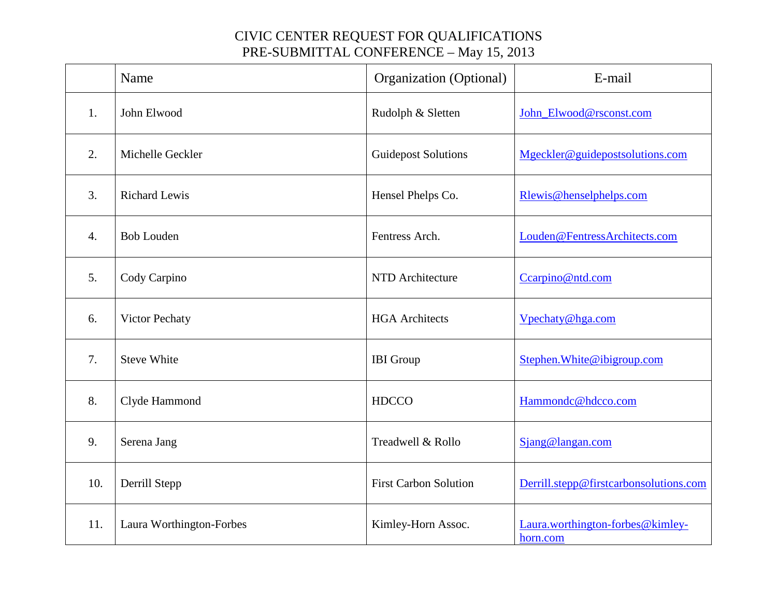|     | Name                     | Organization (Optional)      | E-mail                                       |
|-----|--------------------------|------------------------------|----------------------------------------------|
| 1.  | John Elwood              | Rudolph & Sletten            | John_Elwood@rsconst.com                      |
| 2.  | Michelle Geckler         | <b>Guidepost Solutions</b>   | Mgeckler@guidepostsolutions.com              |
| 3.  | <b>Richard Lewis</b>     | Hensel Phelps Co.            | Rlewis@henselphelps.com                      |
| 4.  | <b>Bob Louden</b>        | Fentress Arch.               | Louden@FentressArchitects.com                |
| 5.  | Cody Carpino             | NTD Architecture             | Ccarpino@ntd.com                             |
| 6.  | Victor Pechaty           | <b>HGA</b> Architects        | Vpechaty@hga.com                             |
| 7.  | <b>Steve White</b>       | <b>IBI</b> Group             | Stephen. White@ibigroup.com                  |
| 8.  | Clyde Hammond            | <b>HDCCO</b>                 | Hammondc@hdcco.com                           |
| 9.  | Serena Jang              | Treadwell & Rollo            | Sjang@langan.com                             |
| 10. | Derrill Stepp            | <b>First Carbon Solution</b> | Derrill.stepp@firstcarbonsolutions.com       |
| 11. | Laura Worthington-Forbes | Kimley-Horn Assoc.           | Laura.worthington-forbes@kimley-<br>horn.com |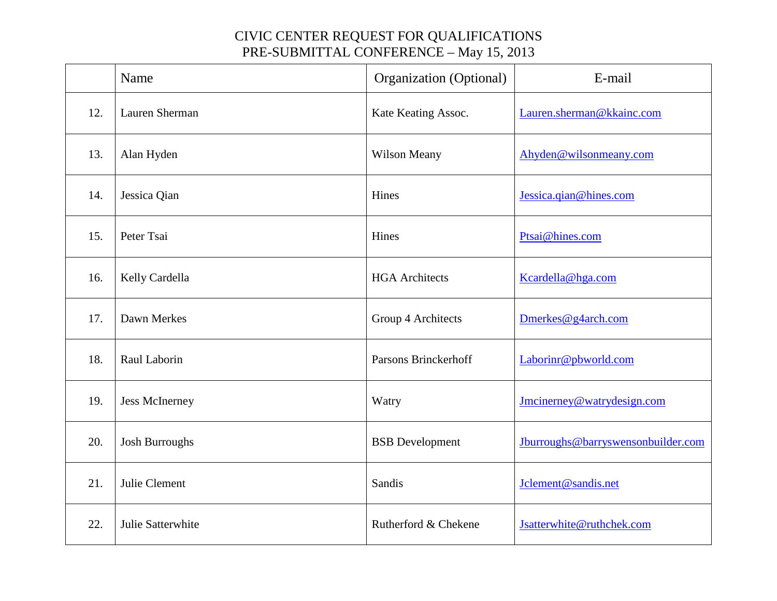|     | Name                  | Organization (Optional) | E-mail                             |
|-----|-----------------------|-------------------------|------------------------------------|
| 12. | Lauren Sherman        | Kate Keating Assoc.     | Lauren.sherman@kkainc.com          |
| 13. | Alan Hyden            | <b>Wilson Meany</b>     | Ahyden@wilsonmeany.com             |
| 14. | Jessica Qian          | Hines                   | Jessica.qian@hines.com             |
| 15. | Peter Tsai            | Hines                   | Ptsai@hines.com                    |
| 16. | Kelly Cardella        | <b>HGA</b> Architects   | Kcardella@hga.com                  |
| 17. | Dawn Merkes           | Group 4 Architects      | Dmerkes@g4arch.com                 |
| 18. | Raul Laborin          | Parsons Brinckerhoff    | Laborinr@pbworld.com               |
| 19. | <b>Jess McInerney</b> | Watry                   | Jmcinerney@watrydesign.com         |
| 20. | <b>Josh Burroughs</b> | <b>BSB</b> Development  | Jburroughs@barryswensonbuilder.com |
| 21. | Julie Clement         | Sandis                  | Jclement@sandis.net                |
| 22. | Julie Satterwhite     | Rutherford & Chekene    | Jsatterwhite@ruthchek.com          |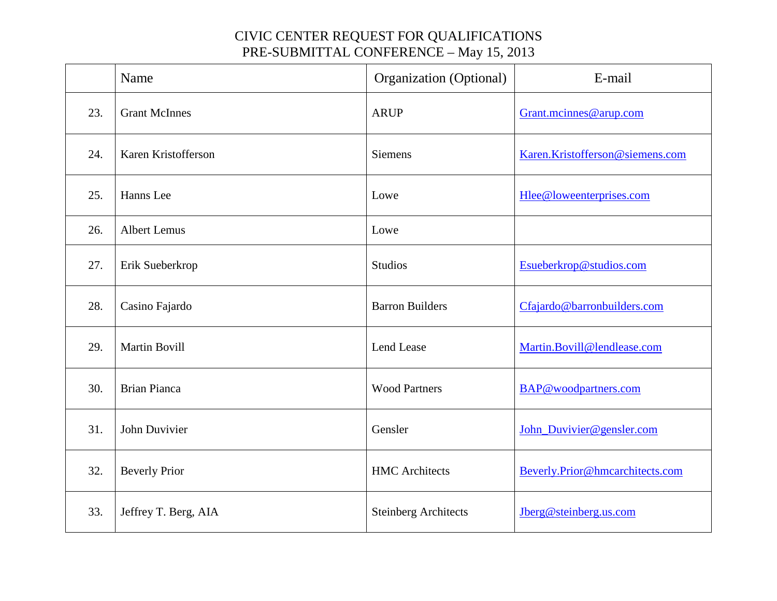|     | Name                 | Organization (Optional)     | E-mail                          |
|-----|----------------------|-----------------------------|---------------------------------|
| 23. | <b>Grant McInnes</b> | <b>ARUP</b>                 | Grant.mcinnes@arup.com          |
| 24. | Karen Kristofferson  | <b>Siemens</b>              | Karen.Kristofferson@siemens.com |
| 25. | Hanns Lee            | Lowe                        | Hlee@loweenterprises.com        |
| 26. | <b>Albert Lemus</b>  | Lowe                        |                                 |
| 27. | Erik Sueberkrop      | Studios                     | Esueberkrop@studios.com         |
| 28. | Casino Fajardo       | <b>Barron Builders</b>      | Cfajardo@barronbuilders.com     |
| 29. | <b>Martin Bovill</b> | Lend Lease                  | Martin.Bovill@lendlease.com     |
| 30. | <b>Brian Pianca</b>  | <b>Wood Partners</b>        | BAP@woodpartners.com            |
| 31. | John Duvivier        | Gensler                     | John_Duvivier@gensler.com       |
| 32. | <b>Beverly Prior</b> | <b>HMC</b> Architects       | Beverly.Prior@hmcarchitects.com |
| 33. | Jeffrey T. Berg, AIA | <b>Steinberg Architects</b> | Jberg@steinberg.us.com          |